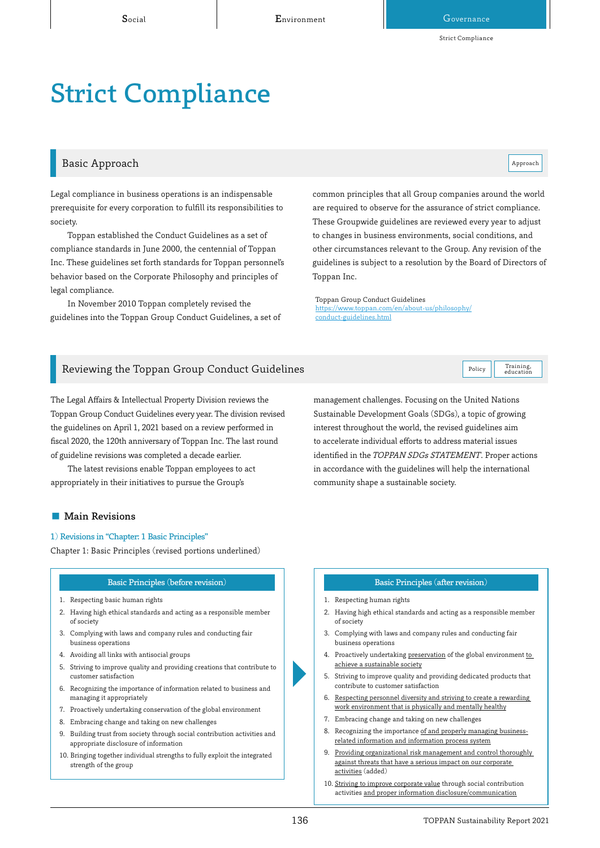#### Basic Approach and the contract of the contract of the contract of the contract of the contract of the contract of the contract of the contract of the contract of the contract of the contract of the contract of the contrac

Training,<br>education

Legal compliance in business operations is an indispensable prerequisite for every corporation to fulfill its responsibilities to society.

Toppan established the Conduct Guidelines as a set of compliance standards in June 2000, the centennial of Toppan Inc. These guidelines set forth standards for Toppan personnel's behavior based on the Corporate Philosophy and principles of legal compliance.

In November 2010 Toppan completely revised the guidelines into the Toppan Group Conduct Guidelines, a set of common principles that all Group companies around the world are required to observe for the assurance of strict compliance. These Groupwide guidelines are reviewed every year to adjust to changes in business environments, social conditions, and other circumstances relevant to the Group. Any revision of the guidelines is subject to a resolution by the Board of Directors of Toppan Inc.

Toppan Group Conduct Guidelines [https://www.toppan.com/en/about-us/philosophy/](https://www.toppan.com/en/about-us/philosophy/conduct-guidelines.html) conduct-guidelines.html

# Reviewing the Toppan Group Conduct Guidelines  $\begin{array}{|c|c|}\hline \end{array}$  Policy

The Legal Affairs & Intellectual Property Division reviews the Toppan Group Conduct Guidelines every year. The division revised the guidelines on April 1, 2021 based on a review performed in fiscal 2020, the 120th anniversary of Toppan Inc. The last round of guideline revisions was completed a decade earlier.

The latest revisions enable Toppan employees to act appropriately in their initiatives to pursue the Group's

management challenges. Focusing on the United Nations Sustainable Development Goals (SDGs), a topic of growing interest throughout the world, the revised guidelines aim to accelerate individual efforts to address material issues identified in the TOPPAN SDGs STATEMENT. Proper actions in accordance with the guidelines will help the international community shape a sustainable society.

#### ■ Main Revisions

#### 1) Revisions in "Chapter: 1 Basic Principles"

Chapter 1: Basic Principles (revised portions underlined)

#### Basic Principles (before revision) Basic Principles (after revision)

- 1. Respecting basic human rights
- 2. Having high ethical standards and acting as a responsible member of society
- 3. Complying with laws and company rules and conducting fair business operations
- 4. Avoiding all links with antisocial groups
- 5. Striving to improve quality and providing creations that contribute to customer satisfaction
- 6. Recognizing the importance of information related to business and managing it appropriately
- 7. Proactively undertaking conservation of the global environment
- 8. Embracing change and taking on new challenges
- 9. Building trust from society through social contribution activities and appropriate disclosure of information
- 10. Bringing together individual strengths to fully exploit the integrated strength of the group

- 1. Respecting human rights
- 2. Having high ethical standards and acting as a responsible member of society
- 3. Complying with laws and company rules and conducting fair business operations
- 4. Proactively undertaking preservation of the global environment to achieve a sustainable society
- 5. Striving to improve quality and providing dedicated products that contribute to customer satisfaction
- 6. Respecting personnel diversity and striving to create a rewarding work environment that is physically and mentally healthy
- 7. Embracing change and taking on new challenges
- 8. Recognizing the importance of and properly managing businessrelated information and information process system
- 9. Providing organizational risk management and control thoroughly against threats that have a serious impact on our corporate activities (added)
- 10. Striving to improve corporate value through social contribution activities and proper information disclosure/communication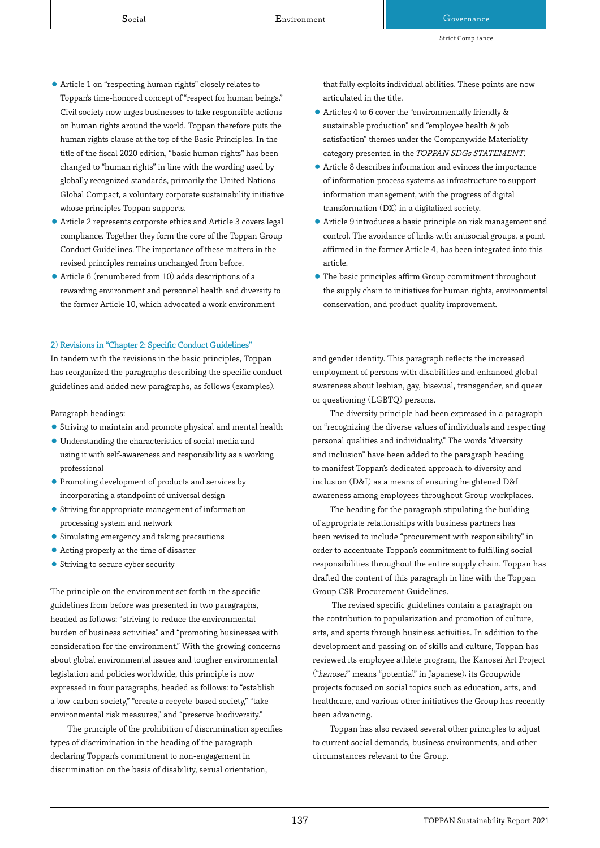- ⃝ Article 1 on "respecting human rights" closely relates to Toppan's time-honored concept of "respect for human beings." Civil society now urges businesses to take responsible actions on human rights around the world. Toppan therefore puts the human rights clause at the top of the Basic Principles. In the title of the fiscal 2020 edition, "basic human rights" has been changed to "human rights" in line with the wording used by globally recognized standards, primarily the United Nations Global Compact, a voluntary corporate sustainability initiative whose principles Toppan supports.
- ⃝ Article 2 represents corporate ethics and Article 3 covers legal compliance. Together they form the core of the Toppan Group Conduct Guidelines. The importance of these matters in the revised principles remains unchanged from before.
- ⃝ Article 6 (renumbered from 10) adds descriptions of a rewarding environment and personnel health and diversity to the former Article 10, which advocated a work environment

#### 2) Revisions in "Chapter 2: Specific Conduct Guidelines"

In tandem with the revisions in the basic principles, Toppan has reorganized the paragraphs describing the specific conduct guidelines and added new paragraphs, as follows (examples).

Paragraph headings:

- ⃝ Striving to maintain and promote physical and mental health
- ⃝ Understanding the characteristics of social media and using it with self-awareness and responsibility as a working professional
- ⃝ Promoting development of products and services by incorporating a standpoint of universal design
- ⃝ Striving for appropriate management of information processing system and network
- ⃝ Simulating emergency and taking precautions
- ⃝ Acting properly at the time of disaster
- ⃝ Striving to secure cyber security

The principle on the environment set forth in the specific guidelines from before was presented in two paragraphs, headed as follows: "striving to reduce the environmental burden of business activities" and "promoting businesses with consideration for the environment." With the growing concerns about global environmental issues and tougher environmental legislation and policies worldwide, this principle is now expressed in four paragraphs, headed as follows: to "establish a low-carbon society," "create a recycle-based society," "take environmental risk measures," and "preserve biodiversity."

The principle of the prohibition of discrimination specifies types of discrimination in the heading of the paragraph declaring Toppan's commitment to non-engagement in discrimination on the basis of disability, sexual orientation,

that fully exploits individual abilities. These points are now articulated in the title.

- ⃝ Articles 4 to 6 cover the "environmentally friendly & sustainable production" and "employee health & job satisfaction" themes under the Companywide Materiality category presented in the TOPPAN SDGs STATEMENT.
- ⃝ Article 8 describes information and evinces the importance of information process systems as infrastructure to support information management, with the progress of digital transformation (DX) in a digitalized society.
- ⃝ Article 9 introduces a basic principle on risk management and control. The avoidance of links with antisocial groups, a point affirmed in the former Article 4, has been integrated into this article.
- ⃝ The basic principles affirm Group commitment throughout the supply chain to initiatives for human rights, environmental conservation, and product-quality improvement.

and gender identity. This paragraph reflects the increased employment of persons with disabilities and enhanced global awareness about lesbian, gay, bisexual, transgender, and queer or questioning (LGBTQ) persons.

The diversity principle had been expressed in a paragraph on "recognizing the diverse values of individuals and respecting personal qualities and individuality." The words "diversity and inclusion" have been added to the paragraph heading to manifest Toppan's dedicated approach to diversity and inclusion (D&I) as a means of ensuring heightened D&I awareness among employees throughout Group workplaces.

The heading for the paragraph stipulating the building of appropriate relationships with business partners has been revised to include "procurement with responsibility" in order to accentuate Toppan's commitment to fulfilling social responsibilities throughout the entire supply chain. Toppan has drafted the content of this paragraph in line with the Toppan Group CSR Procurement Guidelines.

 The revised specific guidelines contain a paragraph on the contribution to popularization and promotion of culture, arts, and sports through business activities. In addition to the development and passing on of skills and culture, Toppan has reviewed its employee athlete program, the Kanosei Art Project ("kanosei" means "potential" in Japanese), its Groupwide projects focused on social topics such as education, arts, and healthcare, and various other initiatives the Group has recently been advancing.

Toppan has also revised several other principles to adjust to current social demands, business environments, and other circumstances relevant to the Group.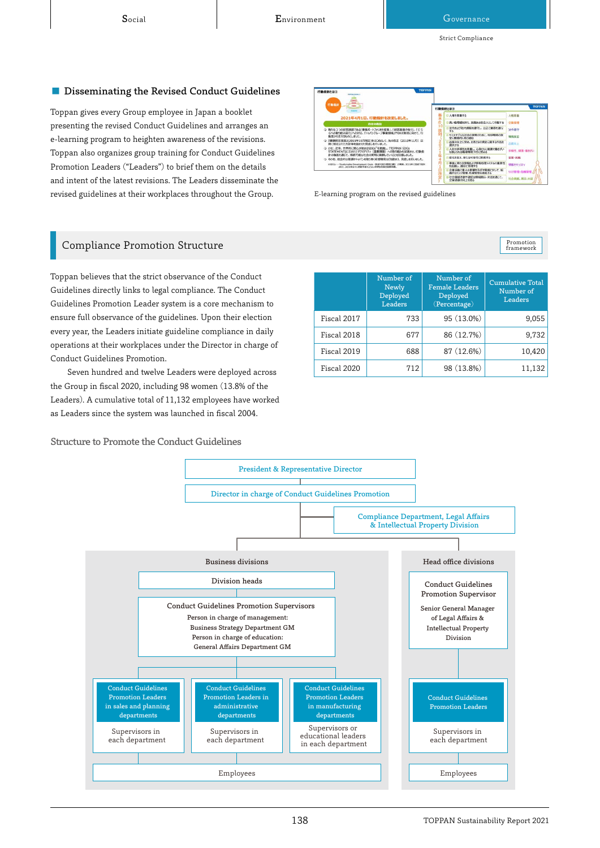#### ■ Disseminating the Revised Conduct Guidelines

Toppan gives every Group employee in Japan a booklet presenting the revised Conduct Guidelines and arranges an e-learning program to heighten awareness of the revisions. Toppan also organizes group training for Conduct Guidelines Promotion Leaders ("Leaders") to brief them on the details and intent of the latest revisions. The Leaders disseminate the revised guidelines at their workplaces throughout the Group.



E-learning program on the revised guidelines

# Promotion<br>framework

# Compliance Promotion Structure

Toppan believes that the strict observance of the Conduct Guidelines directly links to legal compliance. The Conduct Guidelines Promotion Leader system is a core mechanism to ensure full observance of the guidelines. Upon their election every year, the Leaders initiate guideline compliance in daily operations at their workplaces under the Director in charge of Conduct Guidelines Promotion.

Seven hundred and twelve Leaders were deployed across the Group in fiscal 2020, including 98 women (13.8% of the Leaders). A cumulative total of 11,132 employees have worked as Leaders since the system was launched in fiscal 2004.

Structure to Promote the Conduct Guidelines

|             | Number of<br>Newly<br>Deployed<br>Leaders | Number of<br><b>Female Leaders</b><br>Deployed<br>(Percentage) | Cumulative Total<br>Number of<br>Leaders |
|-------------|-------------------------------------------|----------------------------------------------------------------|------------------------------------------|
| Fiscal 2017 | 733                                       | 95 (13.0%)                                                     | 9.055                                    |
| Fiscal 2018 | 677                                       | 86 (12.7%)                                                     | 9,732                                    |
| Fiscal 2019 | 688                                       | 87 (12.6%)                                                     | 10,420                                   |
| Fiscal 2020 | 712                                       | 98 (13.8%)                                                     | 11,132                                   |

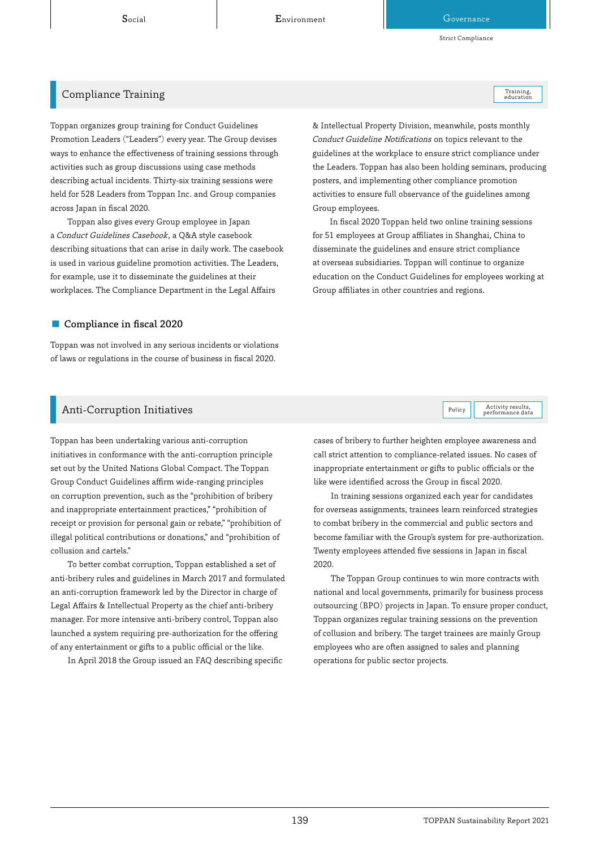Social **Environment** Books and Governance

Strict Compliance

Training,<br>education

### Compliance Training

Toppan organizes group training for Conduct Guidelines Promotion Leaders ("Leaders") every year. The Group devises ways to enhance the effectiveness of training sessions through activities such as group discussions using case methods describing actual incidents. Thirty-six training sessions were held for 528 Leaders from Toppan Inc. and Group companies across Japan in fiscal 2020.

Toppan also gives every Group employee in Japan a Conduct Guidelines Casebook, a Q&A style casebook describing situations that can arise in daily work. The casebook is used in various guideline promotion activities. The Leaders, for example, use it to disseminate the guidelines at their workplaces. The Compliance Department in the Legal Affairs

#### ■ Compliance in fiscal 2020

Toppan was not involved in any serious incidents or violations of laws or regulations in the course of business in fiscal 2020.

& Intellectual Property Division, meanwhile, posts monthly Conduct Guideline Notifications on topics relevant to the guidelines at the workplace to ensure strict compliance under the Leaders. Toppan has also been holding seminars, producing posters, and implementing other compliance promotion activities to ensure full observance of the guidelines among Group employees.

In fiscal 2020 Toppan held two online training sessions for 51 employees at Group affiliates in Shanghai, China to disseminate the guidelines and ensure strict compliance at overseas subsidiaries. Toppan will continue to organize education on the Conduct Guidelines for employees working at Group affiliates in other countries and regions.

Activity results,<br>performance data

# Anti-Corruption Initiatives Activity results, and the set of the set of the set of the set of the set of the set of the set of the set of the set of the set of the set of the set of the set of the set of the set of the set

Toppan has been undertaking various anti-corruption initiatives in conformance with the anti-corruption principle set out by the United Nations Global Compact. The Toppan Group Conduct Guidelines affirm wide-ranging principles on corruption prevention, such as the "prohibition of bribery and inappropriate entertainment practices," "prohibition of receipt or provision for personal gain or rebate," "prohibition of illegal political contributions or donations," and "prohibition of collusion and cartels."

To better combat corruption, Toppan established a set of anti-bribery rules and guidelines in March 2017 and formulated an anti-corruption framework led by the Director in charge of Legal Affairs & Intellectual Property as the chief anti-bribery manager. For more intensive anti-bribery control, Toppan also launched a system requiring pre-authorization for the offering of any entertainment or gifts to a public official or the like.

In April 2018 the Group issued an FAQ describing specific

cases of bribery to further heighten employee awareness and call strict attention to compliance-related issues. No cases of inappropriate entertainment or gifts to public officials or the like were identified across the Group in fiscal 2020.

In training sessions organized each year for candidates for overseas assignments, trainees learn reinforced strategies to combat bribery in the commercial and public sectors and become familiar with the Group's system for pre-authorization. Twenty employees attended five sessions in Japan in fiscal 2020.

The Toppan Group continues to win more contracts with national and local governments, primarily for business process outsourcing (BPO) projects in Japan. To ensure proper conduct, Toppan organizes regular training sessions on the prevention of collusion and bribery. The target trainees are mainly Group employees who are often assigned to sales and planning operations for public sector projects.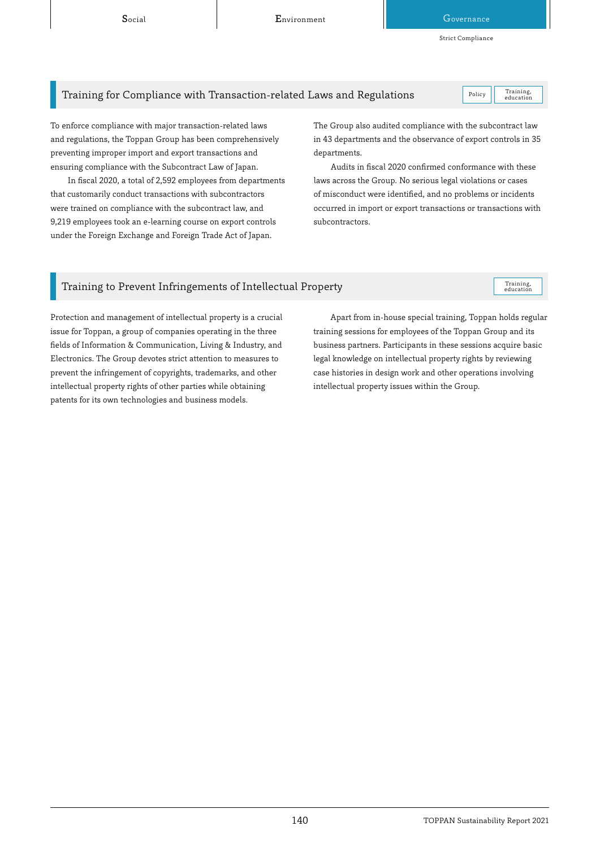Social **Environment** Governance

Strict Compliance

# Training for Compliance with Transaction-related Laws and Regulations  $\vert$  Policy

Training,<br>education

To enforce compliance with major transaction-related laws and regulations, the Toppan Group has been comprehensively preventing improper import and export transactions and ensuring compliance with the Subcontract Law of Japan.

In fiscal 2020, a total of 2,592 employees from departments that customarily conduct transactions with subcontractors were trained on compliance with the subcontract law, and 9,219 employees took an e-learning course on export controls under the Foreign Exchange and Foreign Trade Act of Japan.

The Group also audited compliance with the subcontract law in 43 departments and the observance of export controls in 35 departments.

Audits in fiscal 2020 confirmed conformance with these laws across the Group. No serious legal violations or cases of misconduct were identified, and no problems or incidents occurred in import or export transactions or transactions with subcontractors.

# Training to Prevent Infringements of Intellectual Property

Training,<br>education

Protection and management of intellectual property is a crucial issue for Toppan, a group of companies operating in the three fields of Information & Communication, Living & Industry, and Electronics. The Group devotes strict attention to measures to prevent the infringement of copyrights, trademarks, and other intellectual property rights of other parties while obtaining patents for its own technologies and business models.

Apart from in-house special training, Toppan holds regular training sessions for employees of the Toppan Group and its business partners. Participants in these sessions acquire basic legal knowledge on intellectual property rights by reviewing case histories in design work and other operations involving intellectual property issues within the Group.